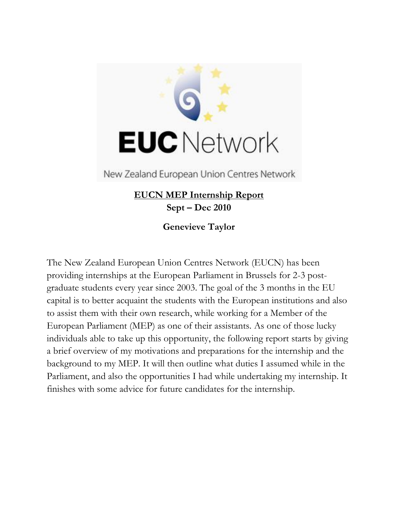

New Zealand European Union Centres Network

# **EUCN MEP Internship Report Sept – Dec 2010**

**Genevieve Taylor**

The New Zealand European Union Centres Network (EUCN) has been providing internships at the European Parliament in Brussels for 2-3 postgraduate students every year since 2003. The goal of the 3 months in the EU capital is to better acquaint the students with the European institutions and also to assist them with their own research, while working for a Member of the European Parliament (MEP) as one of their assistants. As one of those lucky individuals able to take up this opportunity, the following report starts by giving a brief overview of my motivations and preparations for the internship and the background to my MEP. It will then outline what duties I assumed while in the Parliament, and also the opportunities I had while undertaking my internship. It finishes with some advice for future candidates for the internship.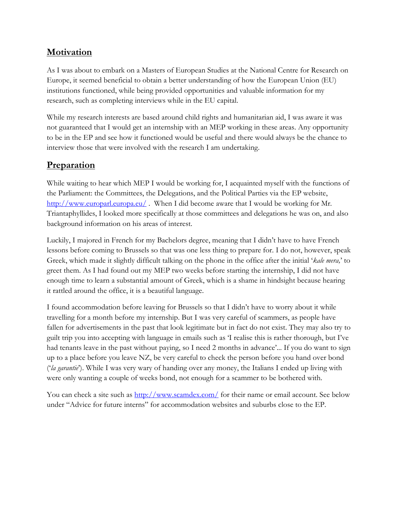## **Motivation**

As I was about to embark on a Masters of European Studies at the National Centre for Research on Europe, it seemed beneficial to obtain a better understanding of how the European Union (EU) institutions functioned, while being provided opportunities and valuable information for my research, such as completing interviews while in the EU capital.

While my research interests are based around child rights and humanitarian aid, I was aware it was not guaranteed that I would get an internship with an MEP working in these areas. Any opportunity to be in the EP and see how it functioned would be useful and there would always be the chance to interview those that were involved with the research I am undertaking.

## **Preparation**

While waiting to hear which MEP I would be working for, I acquainted myself with the functions of the Parliament: the Committees, the Delegations, and the Political Parties via the EP website, <http://www.europarl.europa.eu/>. When I did become aware that I would be working for Mr. Triantaphyllides, I looked more specifically at those committees and delegations he was on, and also background information on his areas of interest.

Luckily, I majored in French for my Bachelors degree, meaning that I didn"t have to have French lessons before coming to Brussels so that was one less thing to prepare for. I do not, however, speak Greek, which made it slightly difficult talking on the phone in the office after the initial "*kale mera,*" to greet them. As I had found out my MEP two weeks before starting the internship, I did not have enough time to learn a substantial amount of Greek, which is a shame in hindsight because hearing it rattled around the office, it is a beautiful language.

I found accommodation before leaving for Brussels so that I didn"t have to worry about it while travelling for a month before my internship. But I was very careful of scammers, as people have fallen for advertisements in the past that look legitimate but in fact do not exist. They may also try to guilt trip you into accepting with language in emails such as "I realise this is rather thorough, but I"ve had tenants leave in the past without paying, so I need 2 months in advance'... If you do want to sign up to a place before you leave NZ, be very careful to check the person before you hand over bond ("*la garantie*"). While I was very wary of handing over any money, the Italians I ended up living with were only wanting a couple of weeks bond, not enough for a scammer to be bothered with.

You can check a site such as<http://www.scamdex.com/> for their name or email account. See below under "Advice for future interns" for accommodation websites and suburbs close to the EP.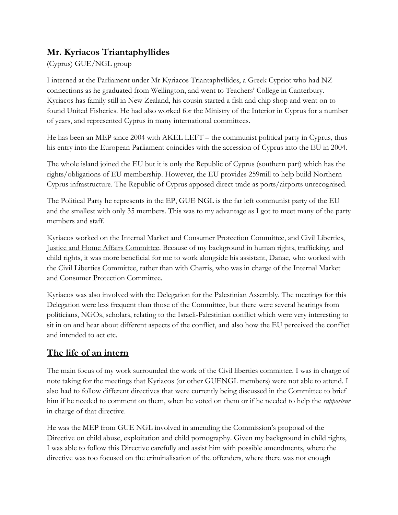# **Mr. Kyriacos Triantaphyllides**

### (Cyprus) GUE/NGL group

I interned at the Parliament under Mr Kyriacos Triantaphyllides, a Greek Cypriot who had NZ connections as he graduated from Wellington, and went to Teachers" College in Canterbury. Kyriacos has family still in New Zealand, his cousin started a fish and chip shop and went on to found United Fisheries. He had also worked for the Ministry of the Interior in Cyprus for a number of years, and represented Cyprus in many international committees.

He has been an MEP since 2004 with AKEL LEFT – the communist political party in Cyprus, thus his entry into the European Parliament coincides with the accession of Cyprus into the EU in 2004.

The whole island joined the EU but it is only the Republic of Cyprus (southern part) which has the rights/obligations of EU membership. However, the EU provides 259mill to help build Northern Cyprus infrastructure. The Republic of Cyprus apposed direct trade as ports/airports unrecognised.

The Political Party he represents in the EP, GUE NGL is the far left communist party of the EU and the smallest with only 35 members. This was to my advantage as I got to meet many of the party members and staff.

Kyriacos worked on the Internal Market and Consumer Protection Committee, and Civil Liberties, Justice and Home Affairs Committee. Because of my background in human rights, trafficking, and child rights, it was more beneficial for me to work alongside his assistant, Danae, who worked with the Civil Liberties Committee, rather than with Charris, who was in charge of the Internal Market and Consumer Protection Committee.

Kyriacos was also involved with the Delegation for the Palestinian Assembly. The meetings for this Delegation were less frequent than those of the Committee, but there were several hearings from politicians, NGOs, scholars, relating to the Israeli-Palestinian conflict which were very interesting to sit in on and hear about different aspects of the conflict, and also how the EU perceived the conflict and intended to act etc.

# **The life of an intern**

The main focus of my work surrounded the work of the Civil liberties committee. I was in charge of note taking for the meetings that Kyriacos (or other GUENGL members) were not able to attend. I also had to follow different directives that were currently being discussed in the Committee to brief him if he needed to comment on them, when he voted on them or if he needed to help the *rapporteur* in charge of that directive.

He was the MEP from GUE NGL involved in amending the Commission"s proposal of the Directive on child abuse, exploitation and child pornography. Given my background in child rights, I was able to follow this Directive carefully and assist him with possible amendments, where the directive was too focused on the criminalisation of the offenders, where there was not enough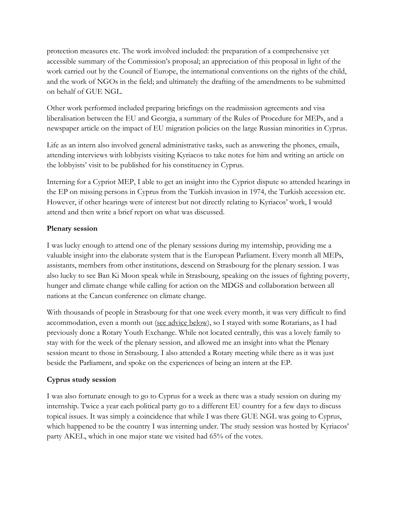protection measures etc. The work involved included: the preparation of a comprehensive yet accessible summary of the Commission"s proposal; an appreciation of this proposal in light of the work carried out by the Council of Europe, the international conventions on the rights of the child, and the work of NGOs in the field; and ultimately the drafting of the amendments to be submitted on behalf of GUE NGL.

Other work performed included preparing briefings on the readmission agreements and visa liberalisation between the EU and Georgia, a summary of the Rules of Procedure for MEPs, and a newspaper article on the impact of EU migration policies on the large Russian minorities in Cyprus.

Life as an intern also involved general administrative tasks, such as answering the phones, emails, attending interviews with lobbyists visiting Kyriacos to take notes for him and writing an article on the lobbyists" visit to be published for his constituency in Cyprus.

Interning for a Cypriot MEP, I able to get an insight into the Cypriot dispute so attended hearings in the EP on missing persons in Cyprus from the Turkish invasion in 1974, the Turkish accession etc. However, if other hearings were of interest but not directly relating to Kyriacos' work, I would attend and then write a brief report on what was discussed.

#### **Plenary session**

I was lucky enough to attend one of the plenary sessions during my internship, providing me a valuable insight into the elaborate system that is the European Parliament. Every month all MEPs, assistants, members from other institutions, descend on Strasbourg for the plenary session. I was also lucky to see Ban Ki Moon speak while in Strasbourg, speaking on the issues of fighting poverty, hunger and climate change while calling for action on the MDGS and collaboration between all nations at the Cancun conference on climate change.

With thousands of people in Strasbourg for that one week every month, it was very difficult to find accommodation, even a month out (see advice below), so I stayed with some Rotarians, as I had previously done a Rotary Youth Exchange. While not located centrally, this was a lovely family to stay with for the week of the plenary session, and allowed me an insight into what the Plenary session meant to those in Strasbourg. I also attended a Rotary meeting while there as it was just beside the Parliament, and spoke on the experiences of being an intern at the EP.

### **Cyprus study session**

I was also fortunate enough to go to Cyprus for a week as there was a study session on during my internship. Twice a year each political party go to a different EU country for a few days to discuss topical issues. It was simply a coincidence that while I was there GUE NGL was going to Cyprus, which happened to be the country I was interning under. The study session was hosted by Kyriacos' party AKEL, which in one major state we visited had 65% of the votes.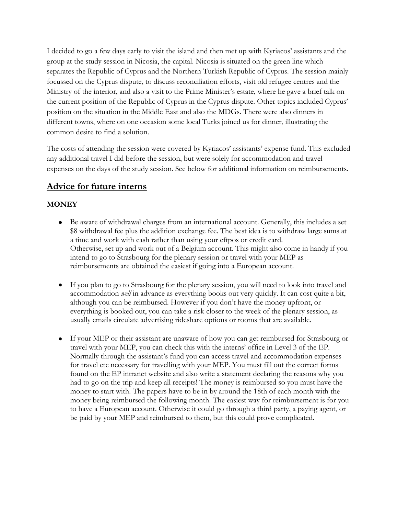I decided to go a few days early to visit the island and then met up with Kyriacos" assistants and the group at the study session in Nicosia, the capital. Nicosia is situated on the green line which separates the Republic of Cyprus and the Northern Turkish Republic of Cyprus. The session mainly focussed on the Cyprus dispute, to discuss reconciliation efforts, visit old refugee centres and the Ministry of the interior, and also a visit to the Prime Minister's estate, where he gave a brief talk on the current position of the Republic of Cyprus in the Cyprus dispute. Other topics included Cyprus" position on the situation in the Middle East and also the MDGs. There were also dinners in different towns, where on one occasion some local Turks joined us for dinner, illustrating the common desire to find a solution.

The costs of attending the session were covered by Kyriacos" assistants" expense fund. This excluded any additional travel I did before the session, but were solely for accommodation and travel expenses on the days of the study session. See below for additional information on reimbursements.

## **Advice for future interns**

### **MONEY**

- Be aware of withdrawal charges from an international account. Generally, this includes a set \$8 withdrawal fee plus the addition exchange fee. The best idea is to withdraw large sums at a time and work with cash rather than using your eftpos or credit card. Otherwise, set up and work out of a Belgium account. This might also come in handy if you intend to go to Strasbourg for the plenary session or travel with your MEP as reimbursements are obtained the easiest if going into a European account.
- If you plan to go to Strasbourg for the plenary session, you will need to look into travel and accommodation *well* in advance as everything books out very quickly. It can cost quite a bit, although you can be reimbursed. However if you don"t have the money upfront, or everything is booked out, you can take a risk closer to the week of the plenary session, as usually emails circulate advertising rideshare options or rooms that are available.
- If your MEP or their assistant are unaware of how you can get reimbursed for Strasbourg or travel with your MEP, you can check this with the interns" office in Level 3 of the EP. Normally through the assistant"s fund you can access travel and accommodation expenses for travel etc necessary for travelling with your MEP. You must fill out the correct forms found on the EP intranet website and also write a statement declaring the reasons why you had to go on the trip and keep all receipts! The money is reimbursed so you must have the money to start with. The papers have to be in by around the 18th of each month with the money being reimbursed the following month. The easiest way for reimbursement is for you to have a European account. Otherwise it could go through a third party, a paying agent, or be paid by your MEP and reimbursed to them, but this could prove complicated.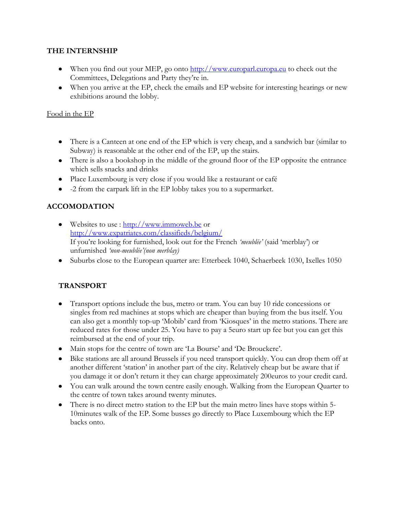#### **THE INTERNSHIP**

- When you find out your MEP, go onto [http://www.europarl.europa.eu](http://www.europarl.europa.eu/) to check out the Committees, Delegations and Party they"re in.
- When you arrive at the EP, check the emails and EP website for interesting hearings or new exhibitions around the lobby.

#### Food in the EP

- There is a Canteen at one end of the EP which is very cheap, and a sandwich bar (similar to Subway) is reasonable at the other end of the EP, up the stairs.
- There is also a bookshop in the middle of the ground floor of the EP opposite the entrance which sells snacks and drinks
- Place Luxembourg is very close if you would like a restaurant or café
- -2 from the carpark lift in the EP lobby takes you to a supermarket.

### **ACCOMODATION**

- Websites to use : [http://www.immoweb.be](http://www.immoweb.be/) or <http://www.expatriates.com/classifieds/belgium/> If you"re looking for furnished, look out for the French *'meublée'* (said "merblay") or unfurnished *'non-meublée'(non merblay)*
- Suburbs close to the European quarter are: Etterbeek 1040, Schaerbeek 1030, Ixelles 1050

### **TRANSPORT**

- Transport options include the bus, metro or tram. You can buy 10 ride concessions or singles from red machines at stops which are cheaper than buying from the bus itself. You can also get a monthly top-up "Mobib" card from "Kiosques" in the metro stations. There are reduced rates for those under 25. You have to pay a 5euro start up fee but you can get this reimbursed at the end of your trip.
- Main stops for the centre of town are 'La Bourse' and 'De Brouckere'.
- Bike stations are all around Brussels if you need transport quickly. You can drop them off at another different "station" in another part of the city. Relatively cheap but be aware that if you damage it or don"t return it they can charge approximately 200euros to your credit card.
- You can walk around the town centre easily enough. Walking from the European Quarter to the centre of town takes around twenty minutes.
- There is no direct metro station to the EP but the main metro lines have stops within 5-10minutes walk of the EP. Some busses go directly to Place Luxembourg which the EP backs onto.